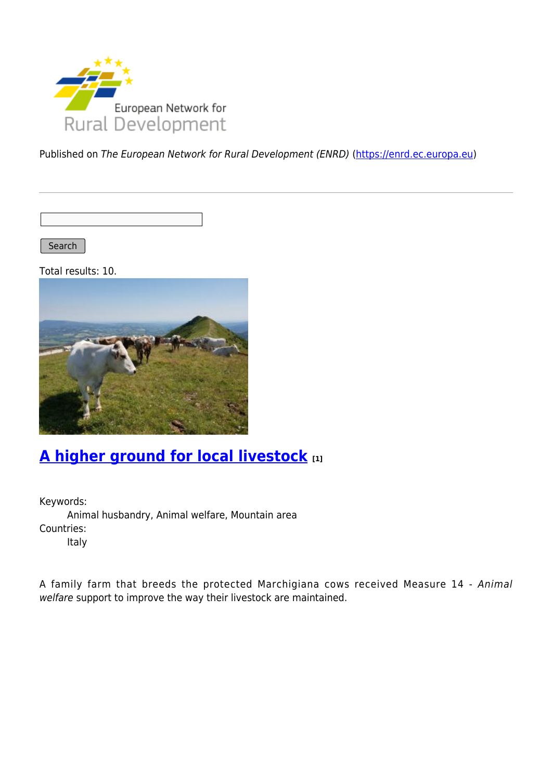

Published on The European Network for Rural Development (ENRD) [\(https://enrd.ec.europa.eu](https://enrd.ec.europa.eu))

Search |

Total results: 10.



## **[A higher ground for local livestock](https://enrd.ec.europa.eu/projects-practice/higher-ground-local-livestock_en) [1]**

Keywords: Animal husbandry, Animal welfare, Mountain area Countries: Italy

A family farm that breeds the protected Marchigiana cows received Measure 14 - Animal welfare support to improve the way their livestock are maintained.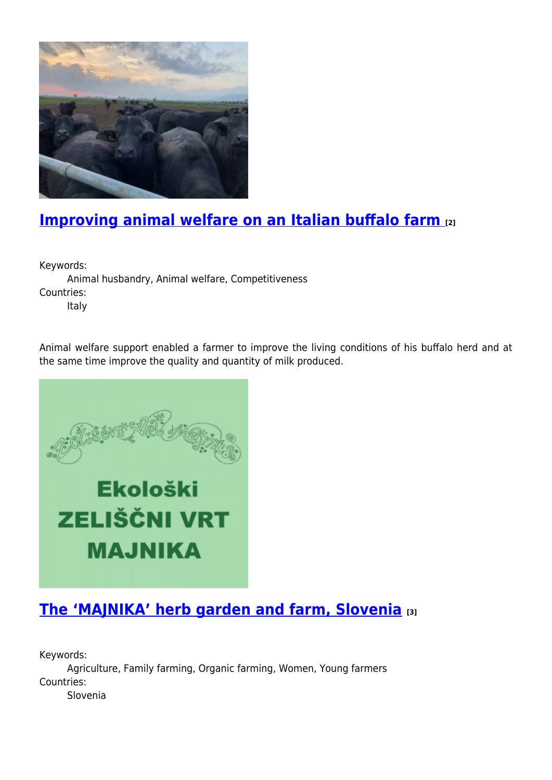

## **[Improving animal welfare on an Italian buffalo farm](https://enrd.ec.europa.eu/projects-practice/improving-animal-welfare-italian-buffalo-farm_en) [2]**

Keywords:

Animal husbandry, Animal welfare, Competitiveness Countries:

Italy

Animal welfare support enabled a farmer to improve the living conditions of his buffalo herd and at the same time improve the quality and quantity of milk produced.



## **[The 'MAJNIKA' herb garden and farm, Slovenia](https://enrd.ec.europa.eu/projects-practice/majnika-herb-garden-and-farm-slovenia_en) [3]**

Keywords: Agriculture, Family farming, Organic farming, Women, Young farmers Countries: Slovenia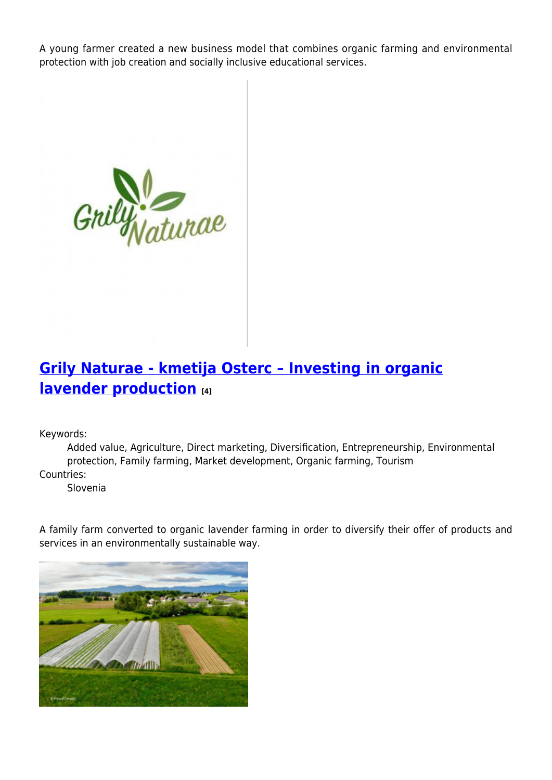A young farmer created a new business model that combines organic farming and environmental protection with job creation and socially inclusive educational services.



## **[Grily Naturae - kmetija Osterc – Investing in organic](https://enrd.ec.europa.eu/projects-practice/grily-naturae-kmetija-osterc-investing-organic-lavender-production_en) [lavender production](https://enrd.ec.europa.eu/projects-practice/grily-naturae-kmetija-osterc-investing-organic-lavender-production_en) [4]**

Keywords:

Added value, Agriculture, Direct marketing, Diversification, Entrepreneurship, Environmental protection, Family farming, Market development, Organic farming, Tourism Countries:

Slovenia

A family farm converted to organic lavender farming in order to diversify their offer of products and services in an environmentally sustainable way.

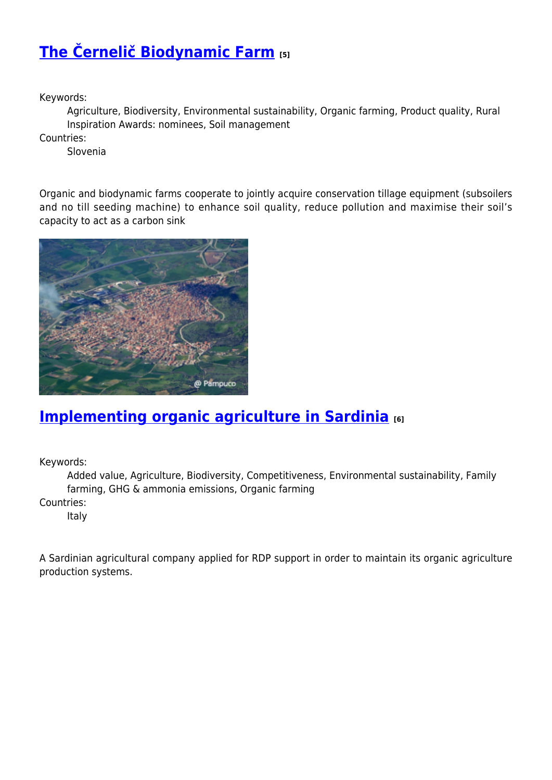# **[The Černelič Biodynamic Farm](https://enrd.ec.europa.eu/projects-practice/cernelic-biodynamic-farm-0_en) [5]**

Keywords:

Agriculture, Biodiversity, Environmental sustainability, Organic farming, Product quality, Rural Inspiration Awards: nominees, Soil management

Countries:

Slovenia

Organic and biodynamic farms cooperate to jointly acquire conservation tillage equipment (subsoilers and no till seeding machine) to enhance soil quality, reduce pollution and maximise their soil's capacity to act as a carbon sink



### **[Implementing organic agriculture in Sardinia](https://enrd.ec.europa.eu/projects-practice/implementing-organic-agriculture-sardinia_en) [6]**

Keywords:

Added value, Agriculture, Biodiversity, Competitiveness, Environmental sustainability, Family farming, GHG & ammonia emissions, Organic farming

Countries:

Italy

A Sardinian agricultural company applied for RDP support in order to maintain its organic agriculture production systems.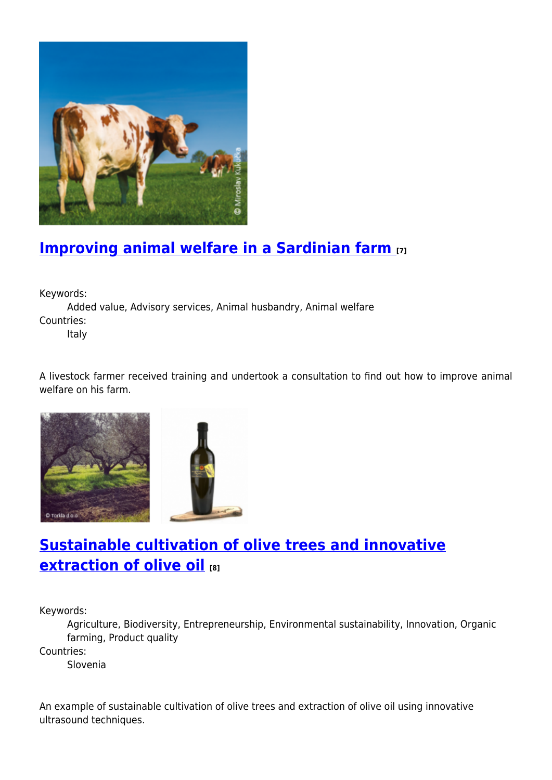

# **[Improving animal welfare in a Sardinian farm](https://enrd.ec.europa.eu/projects-practice/improving-animal-welfare-sardinian-farm_en) [7]**

Keywords:

Added value, Advisory services, Animal husbandry, Animal welfare Countries:

Italy

A livestock farmer received training and undertook a consultation to find out how to improve animal welfare on his farm.





## **[Sustainable cultivation of olive trees and innovative](https://enrd.ec.europa.eu/projects-practice/sustainable-cultivation-olive-trees-and-innovative-extraction-olive-oil_en) [extraction of olive oil](https://enrd.ec.europa.eu/projects-practice/sustainable-cultivation-olive-trees-and-innovative-extraction-olive-oil_en) [8]**

Keywords:

Agriculture, Biodiversity, Entrepreneurship, Environmental sustainability, Innovation, Organic farming, Product quality

Countries:

Slovenia

An example of sustainable cultivation of olive trees and extraction of olive oil using innovative ultrasound techniques.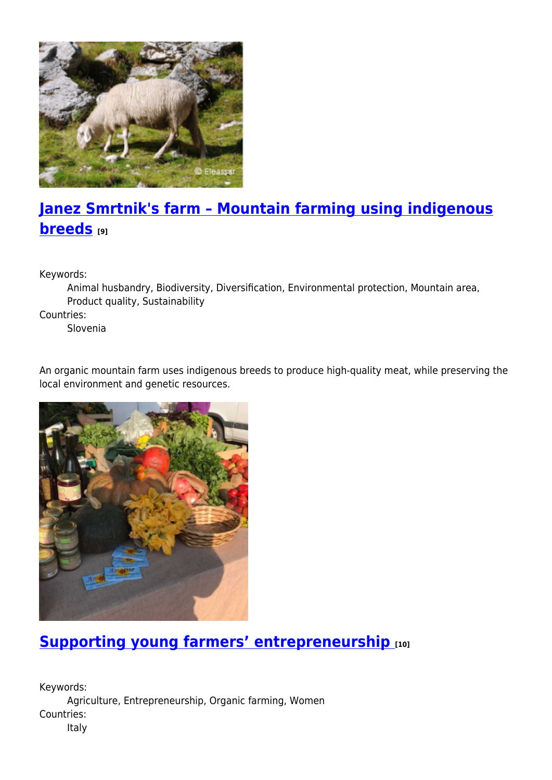

# **[Janez Smrtnik's farm – Mountain farming using indigenous](https://enrd.ec.europa.eu/projects-practice/janez-smrtniks-farm-mountain-farming-using-indigenous-breeds_en) [breeds](https://enrd.ec.europa.eu/projects-practice/janez-smrtniks-farm-mountain-farming-using-indigenous-breeds_en) [9]**

Keywords:

Animal husbandry, Biodiversity, Diversification, Environmental protection, Mountain area, Product quality, Sustainability

Countries:

Slovenia

An organic mountain farm uses indigenous breeds to produce high-quality meat, while preserving the local environment and genetic resources.



### **[Supporting young farmers' entrepreneurship](https://enrd.ec.europa.eu/projects-practice/supporting-young-farmers-entrepreneurship_en) [10]**

Keywords: Agriculture, Entrepreneurship, Organic farming, Women Countries: Italy